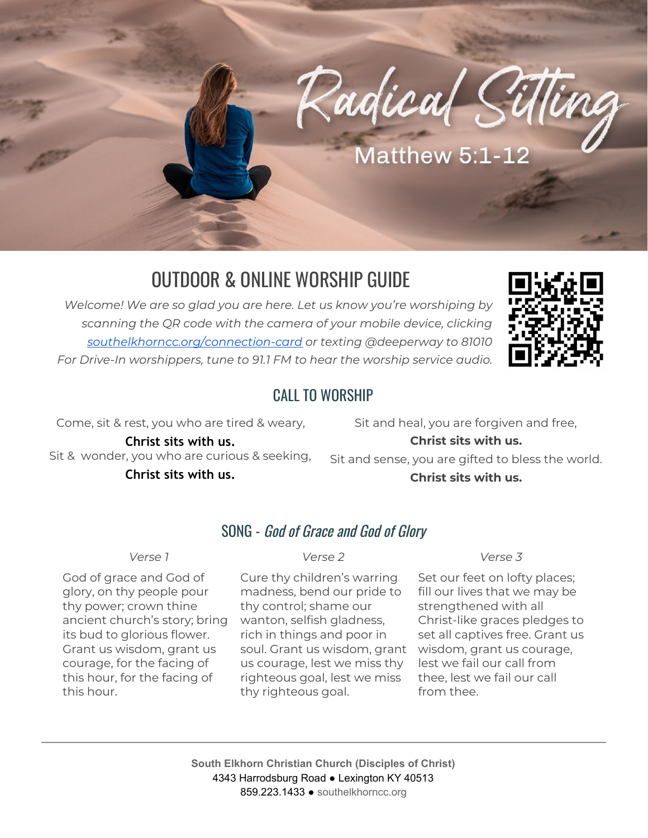

# OUTDOOR & ONLINE WORSHIP GUIDE

*Welcome! We are so glad you are here. Let us know you're worshiping by scanning the QR code with the camera of your mobile device, clicking [southelkhorncc.org/connection-card](https://www.southelkhorncc.org/connection-card) or texting @deeperway to 81010 For Drive-In worshippers, tune to 91.1 FM to hear the worship service audio.*



#### CALL TO WORSHIP

Come, sit & rest, you who are tired & weary,

**Christ sits with us.** Sit & wonder, you who are curious & seeking, **Christ sits with us.**

Sit and heal, you are forgiven and free, **Christ sits with us.** Sit and sense, you are gifted to bless the world. **Christ sits with us.**

### SONG - God of Grace and God of Glory

God of grace and God of glory, on thy people pour thy power; crown thine ancient church's story; bring its bud to glorious flower. Grant us wisdom, grant us courage, for the facing of this hour, for the facing of this hour.

#### *Verse 1 Verse 2 Verse 3*

Cure thy children's warring madness, bend our pride to thy control; shame our wanton, selfish gladness, rich in things and poor in soul. Grant us wisdom, grant us courage, lest we miss thy righteous goal, lest we miss thy righteous goal.

Set our feet on lofty places; fill our lives that we may be strengthened with all Christ-like graces pledges to set all captives free. Grant us wisdom, grant us courage, lest we fail our call from thee, lest we fail our call from thee.